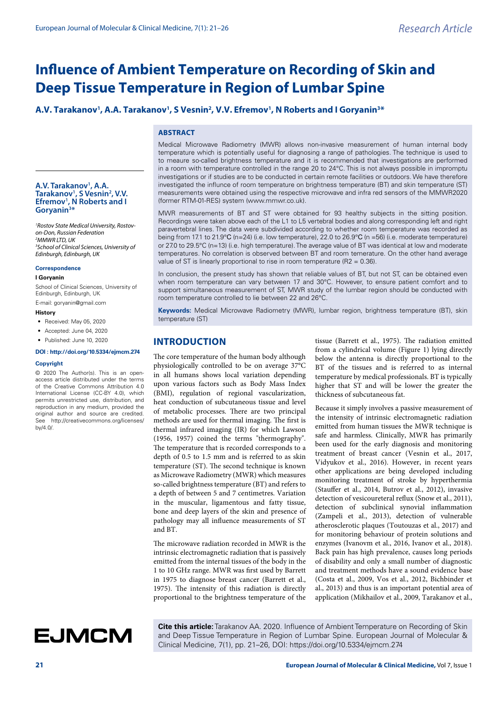# **Influence of Ambient Temperature on Recording of Skin and Deep Tissue Temperature in Region of Lumbar Spine**

# A.V. Tarakanov<sup>1</sup>, A.A. Tarakanov<sup>1</sup>, S Vesnin<sup>2</sup>, V.V. Efremov<sup>1</sup>, N Roberts and I Goryanin<sup>3\*</sup>

## **ABSTRACT**

Medical Microwave Radiometry (MWR) allows non-invasive measurement of human internal body temperature which is potentially useful for diagnosing a range of pathologies. The technique is used to to meaure so-called brightness temperature and it is recommended that investigations are performed in a room with temperature controlled in the range 20 to 24°C. This is not always possible in impromptu investigations or if studies are to be conducted in certain remote facilities or outdoors. We have therefore investigated the influnce of room temperature on brightness temperature (BT) and skin temperature (ST) measurements were obtained using the respective microwave and infra red sensors of the MMWR2020 (former RTM-01-RES) system (www.mmwr.co.uk).

MWR measurements of BT and ST were obtained for 93 healthy subjects in the sitting position. Recordings were taken above each of the L1 to L5 vertebral bodies and along corresponding left and right paravertebral lines. The data were subdivided according to whether room temperature was recorded as being from 17.1 to 21.9°С (n=24) (i.e. low temperature), 22.0 to 26.9°С (n =56) (i.e. moderate temperature) or 27.0 to 29.5°C (n=13) (i.e. high temperature). The average value of BT was identical at low and moderate temperatures. No correlation is observed between BT and room temerature. On the other hand average value of ST is linearly proportional to rise in room temperature (R2 = 0.36).

In conclusion, the present study has shown that reliable values of BT, but not ST, can be obtained even when room temperature can vary between 17 and 30°C. However, to ensure patient comfort and to support simultaneous measurement of ST, MWR study of the lumbar region should be conducted with room temperature controlled to lie between 22 and 26°C.

**Keywords:** Medical Microwave Radiometry (MWR), lumbar region, brightness temperature (BT), skin temperature (ST)

# **INTRODUCTION**

The core temperature of the human body although physiologically controlled to be on average 37°C in all humans shows local variation depending upon various factors such as Body Mass Index (BMI), regulation of regional vascularization, heat conduction of subcutaneous tissue and level of metabolic processes. There are two principal methods are used for thermal imaging. The first is thermal infrared imaging (IR) for which Lawson (1956, 1957) coined the terms "thermography". The temperature that is recorded corresponds to a depth of 0.5 to 1.5 mm and is referred to as skin temperature (ST). The second technique is known as Microwave Radiometry (MWR) which measures so-called brightness temperature (BT) and refers to a depth of between 5 and 7 centimetres. Variation in the muscular, ligamentous and fatty tissue, bone and deep layers of the skin and presence of pathology may all influence measurements of ST and BT.

The microwave radiation recorded in MWR is the intrinsic electromagnetic radiation that is passively emitted from the internal tissues of the body in the 1 to 10 GHz range. MWR was first used by Barrett in 1975 to diagnose breast cancer (Barrett et al., 1975). The intensity of this radiation is directly proportional to the brightness temperature of the

tissue (Barrett et al., 1975). The radiation emitted from a cylindrical volume (Figure 1) lying directly below the antenna is directly proportional to the BT of the tissues and is referred to as internal temperature by medical professionals. BT is typically higher that ST and will be lower the greater the thickness of subcutaneous fat.

Because it simply involves a passive measurement of the intensity of intrinsic electromagnetic radiation emitted from human tissues the MWR technique is safe and harmless. Clinically, MWR has primarily been used for the early diagnosis and monitoring treatment of breast cancer (Vesnin et al., 2017, Vidyukov et al., 2016). However, in recent years other applications are being developed including monitoring treatment of stroke by hyperthermia (Stauffer et al., 2014, Butrov et al., 2012), invasive detection of vesicoureteral reflux (Snow et al., 2011), detection of subclinical synovial inflammation (Zampeli et al., 2013), detection of vulnerable atherosclerotic plaques (Toutouzas et al., 2017) and for monitoring behaviour of protein solutions and enzymes (Ivanovm et al., 2016, Ivanov et al., 2018). Back pain has high prevalence, causes long periods of disability and only a small number of diagnostic and treatment methods have a sound evidence base (Costa et al., 2009, Vos et al., 2012, Bichbinder et al., 2013) and thus is an important potential area of application (Mikhailov et al., 2009, Tarakanov et al.,

**Cite this article:** Tarakanov AA. 2020. Influence of Ambient Temperature on Recording of Skin and Deep Tissue Temperature in Region of Lumbar Spine. European Journal of Molecular & Clinical Medicine, 7(1), pp. 21–26, DOI: https://doi.org/10.5334/ejmcm.274

**A.V. Tarakanov1 , A.A. Tarakanov1 , S Vesnin2 , V.V. Efremov1 , N Roberts and I Goryanin3 \***

*1 Rostov State Medical University, Rostovon-Don, Russian Federation 2 MMWR LTD, UK 3 School of Clinical Sciences, University of Edinburgh, Edinburgh, UK* 

#### **Correspondence**

#### **I Goryanin**

School of Clinical Sciences, University of Edinburgh, Edinburgh, UK

E-mail: goryanin@gmail.com

#### **History**

- Received: May 05, 2020
- Accepted: June 04, 2020
- Published: June 10, 2020

## **DOI : http://doi.org/10.5334/ejmcm.274**

#### **Copyright**

© 2020 The Author(s). This is an openaccess article distributed under the terms of the Creative Commons Attribution 4.0 International License (CC-BY 4.0), which permits unrestricted use, distribution, and reproduction in any medium, provided the original author and source are credited. See http://creativecommons.org/licenses/ by/4.0/.

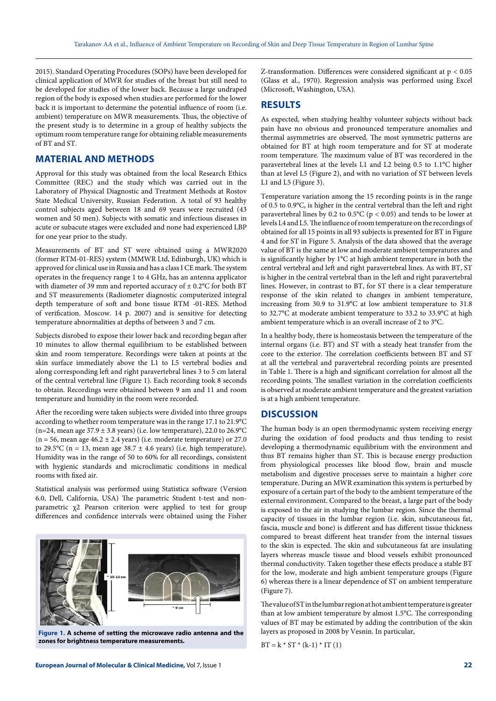2015). Standard Operating Procedures (SOPs) have been developed for clinical application of MWR for studies of the breast but still need to be developed for studies of the lower back. Because a large undraped region of the body is exposed when studies are performed for the lower back it is important to determine the potential influence of room (i.e. ambient) temperature on MWR measurements. Thus, the objective of the present study is to determine in a group of healthy subjects the optimum room temperature range for obtaining reliable measurements of BT and ST.

# **MATERIAL AND METHODS**

Approval for this study was obtained from the local Research Ethics Committee (REC) and the study which was carried out in the Laboratory of Physical Diagnostic and Treatment Methods at Rostov State Medical University, Russian Federation. A total of 93 healthy control subjects aged between 18 and 69 years were recruited (43 women and 50 men). Subjects with somatic and infectious diseases in acute or subacute stages were excluded and none had experienced LBP for one year prior to the study.

Measurements of BT and ST were obtained using a MWR2020 (former RTM-01-RES) system (MMWR Ltd, Edinburgh, UK) which is approved for clinical use in Russia and has a class I CE mark. The system operates in the frequency range 1 to 4 GHz, has an antenna applicator with diameter of 39 mm and reported accuracy of  $\pm$  0.2°C for both BT and ST measurements (Radiometer diagnostic computerized integral depth temperature of soft and bone tissue RTM -01-RES. Method of verification. Moscow. 14 p. 2007) and is sensitive for detecting temperature abnormalities at depths of between 3 and 7 cm.

Subjects disrobed to expose their lower back and recording began after 10 minutes to allow thermal equilibrium to be established between skin and room temperature. Recordings were taken at points at the skin surface immediately above the L1 to L5 vertebral bodies and along corresponding left and right paravertebral lines 3 to 5 cm lateral of the central vertebral line (Figure 1). Each recording took 8 seconds to obtain. Recordings were obtained between 9 am and 11 and room temperature and humidity in the room were recorded.

After the recording were taken subjects were divided into three groups according to whether room temperature was in the range 17.1 to 21.9°С (n=24, mean age  $37.9 \pm 3.8$  years) (i.e. low temperature), 22.0 to 26.9°C  $(n = 56, \text{ mean age } 46.2 \pm 2.4 \text{ years})$  (i.e. moderate temperature) or 27.0 to 29.5°C (n = 13, mean age 38.7  $\pm$  4.6 years) (i.e. high temperature). Humidity was in the range of 50 to 60% for all recordings, consistent with hygienic standards and microclimatic conditions in medical rooms with fixed air.

Statistical analysis was performed using Statistica software (Version 6.0, Dell, California, USA) The parametric Student t-test and nonparametric χ2 Pearson criterion were applied to test for group differences and confidence intervals were obtained using the Fisher



**Figure 1. A scheme of setting the microwave radio antenna and the zones for brightness temperature measurements.**

Z-transformation. Differences were considered significant at p < 0.05 (Glass et al., 1970). Regression analysis was performed using Excel (Microsoft, Washington, USA).

# **RESULTS**

As expected, when studying healthy volunteer subjects without back pain have no obvious and pronounced temperature anomalies and thermal asymmetries are observed. The most symmetric patterns are obtained for BT at high room temperature and for ST at moderate room temperature. The maximum value of BT was recordered in the paravertebral lines at the levels L1 and L2 being 0.5 to 1.1°C higher than at level L5 (Figure 2), and with no variation of ST between levels L1 and L5 (Figure 3).

Temperature variation among the 15 recording points is in the range of 0.5 to 0.9°C, is higher in the central vertebral than the left and right paravertebral lines by 0.2 to 0.5°C ( $p < 0.05$ ) and tends to be lower at levels L4 and L5. The influence of room temperature on the recordings of obtained for all 15 points in all 93 subjects is presented for BT in Figure 4 and for ST in Figure 5. Analysis of the data showed that the average value of BT is the same at low and moderate ambient temperatures and is significantly higher by 1°C at high ambient temperature in both the central vertebral and left and right paravertebral lines. As with BT, ST is higher in the central vertebral than in the left and right paravertebral lines. However, in contrast to BT, for ST there is a clear temperature response of the skin related to changes in ambient temperature, increasing from 30.9 to 31.9°C at low ambient temperature to 31.8 to 32.7°C at moderate ambient temperature to 33.2 to 33.9°C at high ambient temperature which is an overall increase of 2 to 3°C.

In a healthy body, there is homeostasis between the temperature of the internal organs (i.e. BT) and ST with a steady heat transfer from the core to the exterior. The correlation coefficients between BT and ST at all the vertebral and paravertebral recording points are presented in Table 1. There is a high and significant correlation for almost all the recording points. The smallest variation in the correlation coefficients is observed at moderate ambient temperature and the greatest variation is at a high ambient temperature.

# **DISCUSSION**

The human body is an open thermodynamic system receiving energy during the oxidation of food products and thus tending to resist developing a thermodynamic equilibrium with the environment and thus BT remains higher than ST. This is because energy production from physiological processes like blood flow, brain and muscle metabolism and digestive processes serve to maintain a higher core temperature. During an MWR examination this system is perturbed by exposure of a certain part of the body to the ambient temperature of the external environment. Compared to the breast, a large part of the body is exposed to the air in studying the lumbar region. Since the thermal capacity of tissues in the lumbar region (i.e. skin, subcutaneous fat, fascia, muscle and bone) is different and has different tissue thickness compared to breast different heat transfer from the internal tissues to the skin is expected. The skin and subcutaneous fat are insulating layers whereas muscle tissue and blood vessels exhibit pronounced thermal conductivity. Taken together these effects produce a stable BT for the low, moderate and high ambient temperature groups (Figure 6) whereas there is a linear dependence of ST on ambient temperature (Figure 7).

The value of ST in the lumbar region at hot ambient temperature is greater than at low ambient temperature by almost 1.5°C. The corresponding values of BT may be estimated by adding the contribution of the skin layers as proposed in 2008 by Vesnin. In particular,

$$
BT = k * ST * (k-1) * IT (1)
$$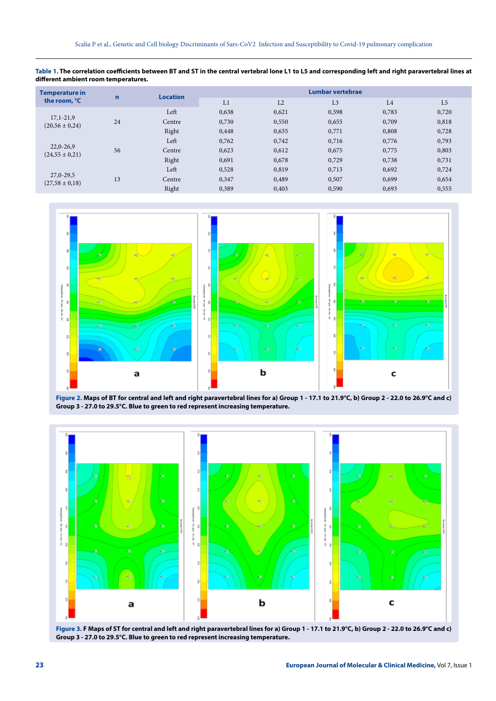**Table 1. The correlation coefficients between BT and ST in the central vertebral lone L1 to L5 and corresponding left and right paravertebral lines at different ambient room temperatures.**

| $\mathbf n$ |        | Lumbar vertebrae |       |                |       |                |
|-------------|--------|------------------|-------|----------------|-------|----------------|
|             |        | L1               | L2    | L <sub>3</sub> | L4    | L <sub>5</sub> |
| 24          | Left   | 0,638            | 0,621 | 0,598          | 0,783 | 0,720          |
|             | Centre | 0,730            | 0,550 | 0,655          | 0,709 | 0,818          |
|             | Right  | 0,448            | 0,635 | 0,771          | 0,808 | 0,728          |
|             | Left   | 0,762            | 0,742 | 0,716          | 0,776 | 0,793          |
| 56          | Centre | 0,623            | 0,612 | 0,675          | 0,775 | 0,803          |
|             | Right  | 0,691            | 0,678 | 0,729          | 0,738 | 0,731          |
|             | Left   | 0,528            | 0,819 | 0.713          | 0,692 | 0,724          |
| 13          | Centre | 0,347            | 0,489 | 0,507          | 0,699 | 0,654          |
|             | Right  | 0,389            | 0,403 | 0,590          | 0,693 | 0,555          |
|             |        | <b>Location</b>  |       |                |       |                |



**Figure 2. Maps of BT for central and left and right paravertebral lines for a) Group 1 - 17.1 to 21.9°С, b) Group 2 - 22.0 to 26.9°С and с) Group 3 - 27.0 to 29.5°С. Blue to green to red represent increasing temperature.**



**Figure 3. F Maps of ST for central and left and right paravertebral lines for a) Group 1 - 17.1 to 21.9°С, b) Group 2 - 22.0 to 26.9°С and с) Group 3 - 27.0 to 29.5°С. Blue to green to red represent increasing temperature.**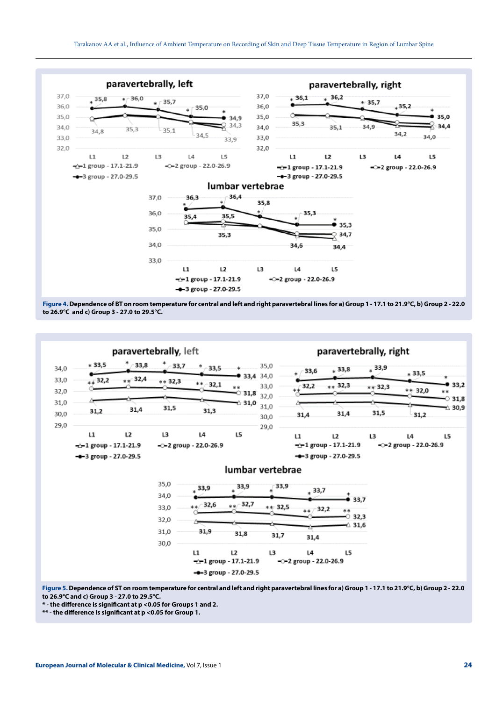

**Figure 4. Dependence of BT on room temperature for central and left and right paravertebral lines for a) Group 1 - 17.1 to 21.9°С, b) Group 2 - 22.0 to 26.9°С and с) Group 3 - 27.0 to 29.5°С.**



**Figure 5. Dependence of ST on room temperature for central and left and right paravertebral lines for a) Group 1 - 17.1 to 21.9°С, b) Group 2 - 22.0 to 26.9°С and с) Group 3 - 27.0 to 29.5°С.**

**\* - the difference is significant at p <0.05 for Groups 1 and 2.** 

**\*\* - the difference is significant at p <0.05 for Group 1.**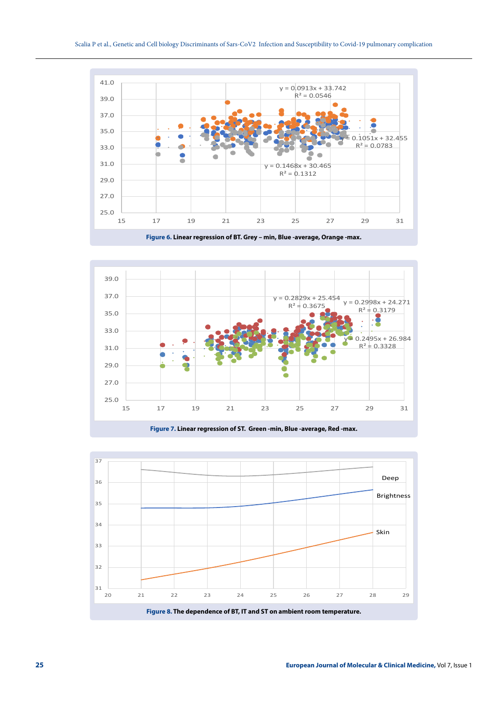

**Figure 6. Linear regression of BT. Grey – min, Blue -average, Orange -max.**



**Figure 7. Linear regression of ST. Green -min, Blue -average, Red -max.**